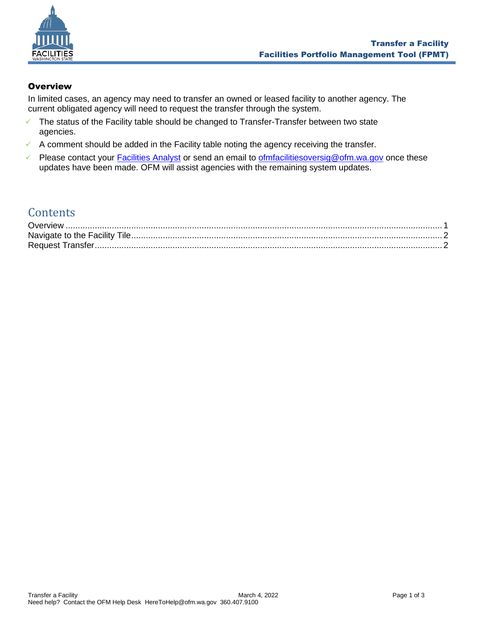

## <span id="page-0-0"></span>**Overview**

In limited cases, an agency may need to transfer an owned or leased facility to another agency. The current obligated agency will need to request the transfer through the system.

- ✓ The status of the Facility table should be changed to Transfer-Transfer between two state agencies.
- $\checkmark$  A comment should be added in the Facility table noting the agency receiving the transfer.
- ✓ Please contact your [Facilities Analyst](https://www.ofm.wa.gov/facilities/state-agency-facility-oversight/facilities-oversight-staff-agency-assignments) or send an email to [ofmfacilitiesoversig@ofm.wa.gov](mailto:ofmfacilitiesoversig@ofm.wa.gov) once these updates have been made. OFM will assist agencies with the remaining system updates.

## **Contents**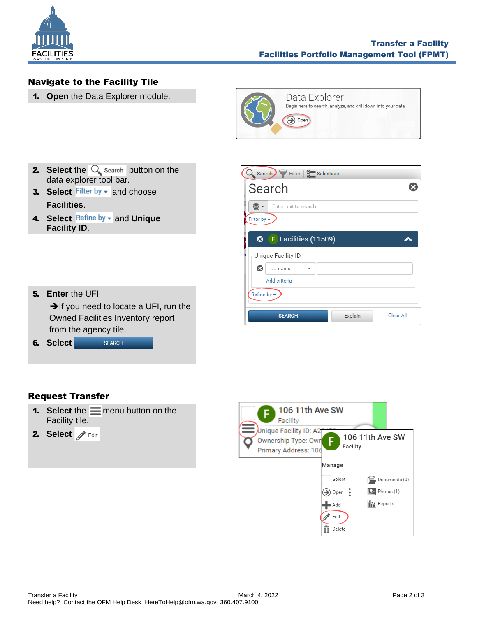

## <span id="page-1-0"></span>Navigate to the Facility Tile

1. **Open** the Data Explorer module.



O Search Filter | Selections

**3** (F) Facilities (11509)

 $\star$ 

Enter text to search

Unique Facility ID **3** Contains

Add criteria

**SEARCH** 

Refine by  $\blacktriangleright$ 

Search

Filter by  $\overline{\phantom{a}}$ 

- **2.** Select the  $\bigcirc$  search button on the data explorer tool bar.
- **3. Select** Filter by  $\bullet$  and choose **Facilities**.
- 4. Select Refine by  $\text{-}$  and Unique **Facility ID**.
- 5. **Enter** the UFI

➔If you need to locate a UFI, run the Owned Facilities Inventory report from the agency tile.

| 6. Select | <b>SEARCH</b> |
|-----------|---------------|
|-----------|---------------|

## <span id="page-1-1"></span>Request Transfer

- **1.** Select the  $\equiv$  menu button on the Facility tile.
- 2. Select *S* Edit



 $\boldsymbol{\Omega}$ 

 $\blacktriangle$ 

Clear All

Explain